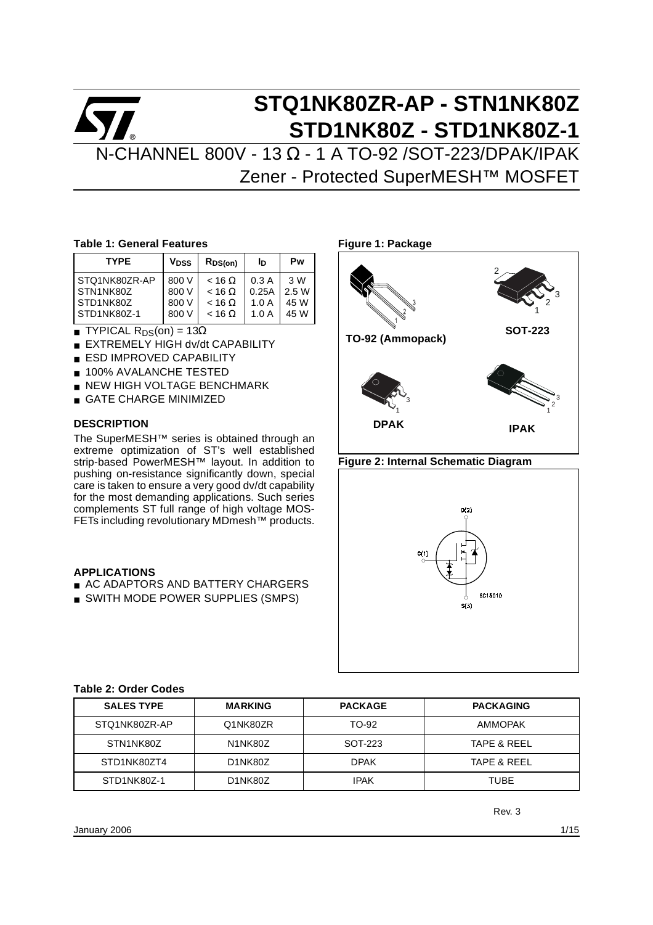# **STQ1NK80ZR-AP - STN1NK80Z STD1NK80Z - STD1NK80Z-1** N-CHANNEL 800V - 13 Ω - 1 A TO-92 /SOT-223/DPAK/IPAK

Zener - Protected SuperMESH™ MOSFET

#### **Table 1: General Features**

| <b>TYPE</b>   | V <sub>DSS</sub> | $R_{DS(on)}$    | ΙD    | Pw    |
|---------------|------------------|-----------------|-------|-------|
| STQ1NK80ZR-AP | 800 V            | $<$ 16 $\Omega$ | 0.3A  | 3 W   |
| STN1NK80Z     | 800 V            | $<$ 16 $\Omega$ | 0.25A | 2.5 W |
| STD1NK80Z     | 800 V            | $<$ 16 $\Omega$ | 1.0A  | 45 W  |
| STD1NK80Z-1   | 800 V            | $<$ 16 $\Omega$ | 1.0A  | 45 W  |

- TYPICAL  $R_{DS}(on) = 13\Omega$
- **EXTREMELY HIGH dv/dt CAPABILITY**
- **ESD IMPROVED CAPABILITY**
- 100% AVALANCHE TESTED
- NEW HIGH VOLTAGE BENCHMARK
- **GATE CHARGE MINIMIZED**

#### **DESCRIPTION**

The SuperMESH™ series is obtained through an extreme optimization of ST's well established strip-based PowerMESH™ layout. In addition to pushing on-resistance significantly down, special care is taken to ensure a very good dv/dt capability for the most demanding applications. Such series complements ST full range of high voltage MOS-FETs including revolutionary MDmesh™ products.

#### **APPLICATIONS**

- AC ADAPTORS AND BATTERY CHARGERS
- SWITH MODE POWER SUPPLIES (SMPS)

**Figure 1: Package TO-92 (Ammopack)** 1 2 2 3 **SOT-223** 1 3 **DPAK** 3 2 1 **IPAK**

#### **Figure 2: Internal Schematic Diagram**



#### **Table 2: Order Codes**

| <b>SALES TYPE</b> | <b>MARKING</b>                    | <b>PACKAGE</b> | <b>PACKAGING</b>       |
|-------------------|-----------------------------------|----------------|------------------------|
| STQ1NK80ZR-AP     | Q1NK80ZR                          | TO-92          | <b>AMMOPAK</b>         |
| STN1NK80Z         | N <sub>1</sub> N <sub>K</sub> 80Z | SOT-223        | <b>TAPE &amp; REEL</b> |
| STD1NK80ZT4       | D <sub>1</sub> NK80Z              | <b>DPAK</b>    | <b>TAPE &amp; REEL</b> |
| STD1NK80Z-1       | D <sub>1</sub> NK80Z              | <b>IPAK</b>    | TUBE                   |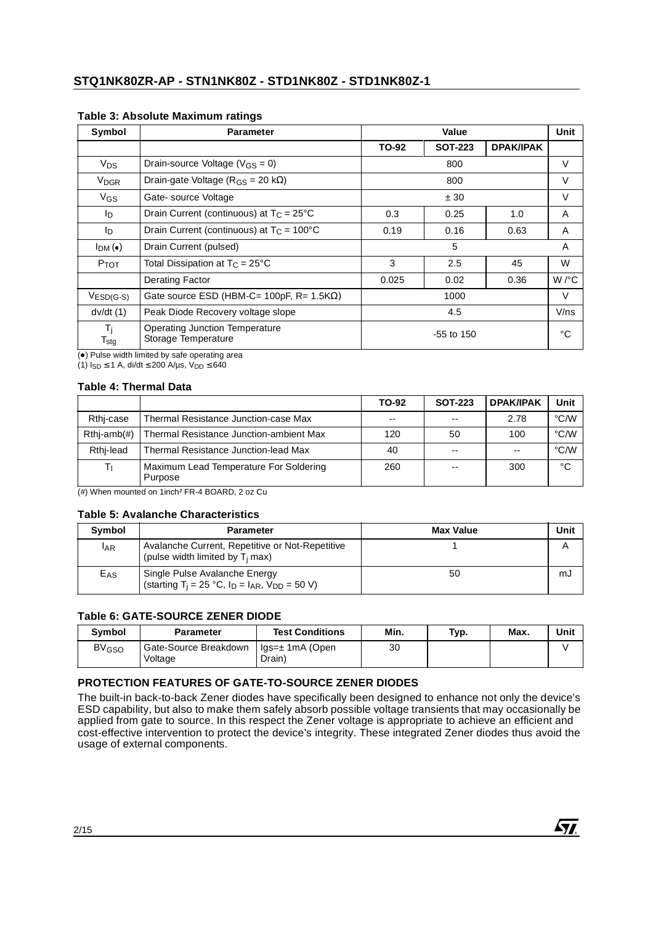| Symbol                                        | <b>Parameter</b>                                             |                      | Value          |                  | Unit   |
|-----------------------------------------------|--------------------------------------------------------------|----------------------|----------------|------------------|--------|
|                                               |                                                              | TO-92                | <b>SOT-223</b> | <b>DPAK/IPAK</b> |        |
| <b>V<sub>DS</sub></b>                         | Drain-source Voltage ( $V_{GS} = 0$ )                        |                      | 800            |                  | V      |
| V <sub>DGR</sub>                              | Drain-gate Voltage ( $R_{GS}$ = 20 k $\Omega$ )              |                      | 800            |                  | V      |
| $V_{GS}$                                      | Gate-source Voltage                                          |                      |                | $\vee$           |        |
| lD.                                           | Drain Current (continuous) at $T_C = 25^{\circ}C$            | 0.3<br>1.0<br>0.25   |                |                  | A      |
| l <sub>D</sub>                                | Drain Current (continuous) at $T_c = 100^{\circ}$ C          | 0.19<br>0.16<br>0.63 |                |                  | A      |
| I <sub>DM</sub> (•)                           | Drain Current (pulsed)                                       |                      | 5              |                  | A      |
| P <sub>TOT</sub>                              | Total Dissipation at $T_C = 25^{\circ}C$                     | 3                    | 2.5            | 45               | W      |
|                                               | Derating Factor                                              | 0.025                | 0.02           | 0.36             | W/°C   |
| $VESD(G-S)$                                   | Gate source ESD (HBM-C= 100pF, $R = 1.5K\Omega$ )            | 1000                 |                |                  | $\vee$ |
| dv/dt(1)                                      | Peak Diode Recovery voltage slope                            | 4.5                  |                |                  | V/ns   |
| Τ <sub>i</sub><br>$\mathsf{T}_{\textsf{stg}}$ | <b>Operating Junction Temperature</b><br>Storage Temperature |                      | $-55$ to 150   |                  |        |

#### <span id="page-1-0"></span>**Table 3: Absolute Maximum ratings**

(<sup>•</sup>) Pulse width limited by safe operating area

(1)  $I_{SD}$  ≤ 1 A, di/dt ≤ 200 A/µs, V<sub>DD</sub> ≤ 640

#### **Table 4: Thermal Data**

|               |                                                   | TO-92         | <b>SOT-223</b> | <b>DPAK/IPAK</b> | Unit |
|---------------|---------------------------------------------------|---------------|----------------|------------------|------|
| Rthi-case     | Thermal Resistance Junction-case Max              | $\sim$ $\sim$ | $-$            | 2.78             | °C/W |
| $Rthi-amb(H)$ | Thermal Resistance Junction-ambient Max           | 120           | 50             | 100              | °C/W |
| Rthi-lead     | <b>Thermal Resistance Junction-lead Max</b>       | 40            | $- -$          |                  | °C/W |
|               | Maximum Lead Temperature For Soldering<br>Purpose | 260           | $- -$          | 300              | °C   |

(#) When mounted on 1inch² FR-4 BOARD, 2 oz Cu

#### **Table 5: Avalanche Characteristics**

| <b>Symbol</b>   | <b>Parameter</b>                                                                                     | <b>Max Value</b> | Unit |
|-----------------|------------------------------------------------------------------------------------------------------|------------------|------|
| <b>LAR</b>      | Avalanche Current, Repetitive or Not-Repetitive<br>(pulse width limited by T <sub>i</sub> max)       |                  |      |
| E <sub>AS</sub> | Single Pulse Avalanche Energy<br>(starting T <sub>i</sub> = 25 °C, $I_D = I_{AR}$ , $V_{DD} = 50$ V) | 50               | mJ   |

#### **Table 6: GATE-SOURCE ZENER DIODE**

| <b>Symbol</b>           | <b>Parameter</b>                 | <b>Test Conditions</b>    | Min. | Typ. | Max. | Unit |
|-------------------------|----------------------------------|---------------------------|------|------|------|------|
| <b>BV<sub>GSO</sub></b> | Gate-Source Breakdown<br>Voltage | Igs=± 1mA (Open<br>Drain) | 30   |      |      |      |

# **PROTECTION FEATURES OF GATE-TO-SOURCE ZENER DIODES**

The built-in back-to-back Zener diodes have specifically been designed to enhance not only the device's ESD capability, but also to make them safely absorb possible voltage transients that may occasionally be applied from gate to source. In this respect the Zener voltage is appropriate to achieve an efficient and cost-effective intervention to protect the device's integrity. These integrated Zener diodes thus avoid the usage of external components.

**Ayl**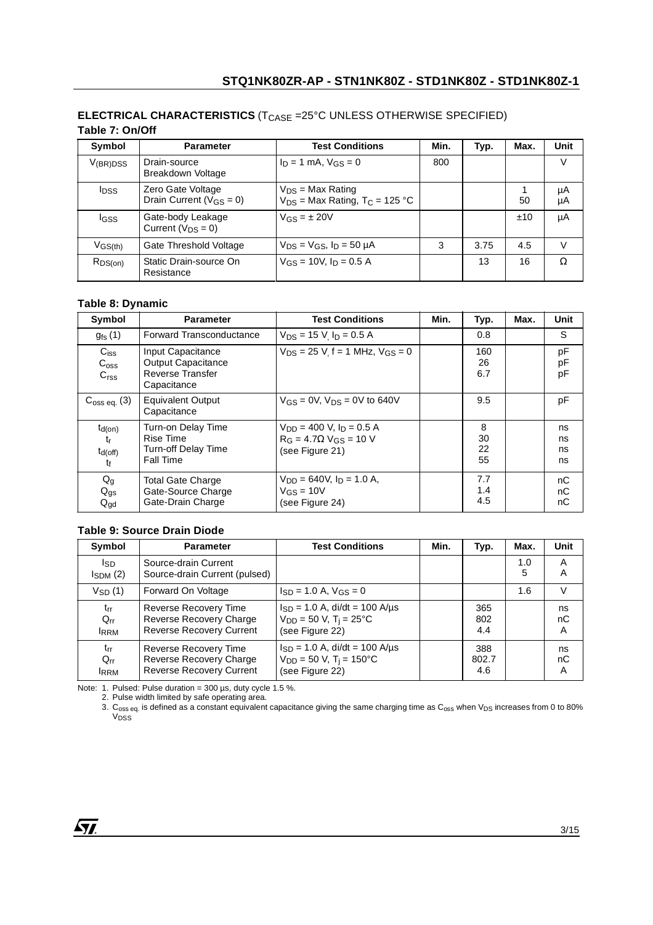| Symbol                  | <b>Parameter</b>                                    | <b>Test Conditions</b>                                                  | Min. | Typ. | Max. | Unit     |  |  |  |
|-------------------------|-----------------------------------------------------|-------------------------------------------------------------------------|------|------|------|----------|--|--|--|
| $V_{(BR)DSS}$           | Drain-source<br>Breakdown Voltage                   | $I_D = 1$ mA, $V_{GS} = 0$                                              | 800  |      |      | V        |  |  |  |
| <b>I</b> <sub>DSS</sub> | Zero Gate Voltage<br>Drain Current ( $V_{GS} = 0$ ) | $V_{DS}$ = Max Rating<br>$V_{DS}$ = Max Rating, T <sub>C</sub> = 125 °C |      |      | 50   | μA<br>μA |  |  |  |
| <b>I</b> GSS            | Gate-body Leakage<br>Current ( $V_{DS} = 0$ )       | $V_{GS} = \pm 20V$                                                      |      |      | ±10  | μA       |  |  |  |
| $V$ GS(th)              | Gate Threshold Voltage                              | $V_{DS}$ = $V_{GS}$ , $I_D$ = 50 $\mu$ A                                | 3    | 3.75 | 4.5  | V        |  |  |  |
| $R_{DS(on)}$            | Static Drain-source On<br>Resistance                | $V_{GS}$ = 10V, $I_D$ = 0.5 A                                           |      | 13   | 16   | $\Omega$ |  |  |  |

#### **ELECTRICAL CHARACTERISTICS** (T<sub>CASE</sub> =25°C UNLESS OTHERWISE SPECIFIED) **Table 7: On/Off**

### **Table 8: Dynamic**

| Symbol                                           | <b>Parameter</b>                                                                         | <b>Test Conditions</b>                                                                          | Min. | Typ.                | Max. | <b>Unit</b>          |
|--------------------------------------------------|------------------------------------------------------------------------------------------|-------------------------------------------------------------------------------------------------|------|---------------------|------|----------------------|
| $g_{\text{fs}}(1)$                               | <b>Forward Transconductance</b>                                                          | $V_{DS}$ = 15 V, $I_D$ = 0.5 A                                                                  |      | 0.8                 |      | S                    |
| $C_{iss}$<br>$C_{\rm oss}$<br>C <sub>rss</sub>   | Input Capacitance<br><b>Output Capacitance</b><br><b>Reverse Transfer</b><br>Capacitance | $V_{DS}$ = 25 V f = 1 MHz, $V_{GS}$ = 0                                                         |      | 160<br>26<br>6.7    |      | pF<br>pF<br>pF       |
| $C_{\text{oss eq.}}(3)$                          | <b>Equivalent Output</b><br>Capacitance                                                  | $V_{GS} = 0V$ , $V_{DS} = 0V$ to 640V                                                           |      | 9.5                 |      | pF                   |
| $t_{d(on)}$<br>tr<br>$t_{d(off)}$<br>$t_{\rm f}$ | Turn-on Delay Time<br><b>Rise Time</b><br><b>Turn-off Delay Time</b><br><b>Fall Time</b> | $V_{DD}$ = 400 V, $I_D$ = 0.5 A<br>$R_G = 4.7 \Omega$ V <sub>GS</sub> = 10 V<br>(see Figure 21) |      | 8<br>30<br>22<br>55 |      | ns<br>ns<br>ns<br>ns |
| $Q_g$<br>$Q_{gs}$<br>$Q_{\text{gd}}$             | <b>Total Gate Charge</b><br>Gate-Source Charge<br>Gate-Drain Charge                      | $V_{DD} = 640V$ , $I_D = 1.0 A$ ,<br>$V$ <sub>GS</sub> = 10V<br>(see Figure 24)                 |      | 7.7<br>1.4<br>4.5   |      | nC<br>nC<br>nС       |

#### **Table 9: Source Drain Diode**

| Symbol                              | <b>Parameter</b>                                                                    | <b>Test Conditions</b>                                                                           | Min. | Typ.                | Max.     | <b>Unit</b>   |
|-------------------------------------|-------------------------------------------------------------------------------------|--------------------------------------------------------------------------------------------------|------|---------------------|----------|---------------|
| Isp<br>$I_{SDM}$ (2)                | Source-drain Current<br>Source-drain Current (pulsed)                               |                                                                                                  |      |                     | 1.0<br>5 | A<br>A        |
| $V_{SD}(1)$                         | Forward On Voltage                                                                  | $\text{Isp} = 1.0 \text{ A}$ , $\text{VGS} = 0$                                                  |      |                     | 1.6      | $\vee$        |
| $t_{rr}$<br>$Q_{rr}$<br><b>IRRM</b> | Reverse Recovery Time<br>Reverse Recovery Charge<br><b>Reverse Recovery Current</b> | $I_{SD}$ = 1.0 A, di/dt = 100 A/µs<br>$V_{DD} = 50 V$ , T <sub>i</sub> = 25°C<br>(see Figure 22) |      | 365<br>802<br>4.4   |          | ns<br>nC<br>A |
| $t_{rr}$<br>$Q_{rr}$<br><b>IRRM</b> | Reverse Recovery Time<br>Reverse Recovery Charge<br><b>Reverse Recovery Current</b> | $I_{SD} = 1.0$ A, di/dt = 100 A/µs<br>$V_{DD} = 50$ V, T <sub>i</sub> = 150°C<br>(see Figure 22) |      | 388<br>802.7<br>4.6 |          | ns<br>nС<br>A |

Note: 1. Pulsed: Pulse duration =  $300 \,\mu s$ , duty cycle 1.5 %.

2. Pulse width limited by safe operating area.

3.  $C_{\rm oss}$  eq. is defined as a constant equivalent capacitance giving the same charging time as  $C_{\rm oss}$  when V<sub>DS</sub> increases from 0 to 80% V<sub>DSS</sub>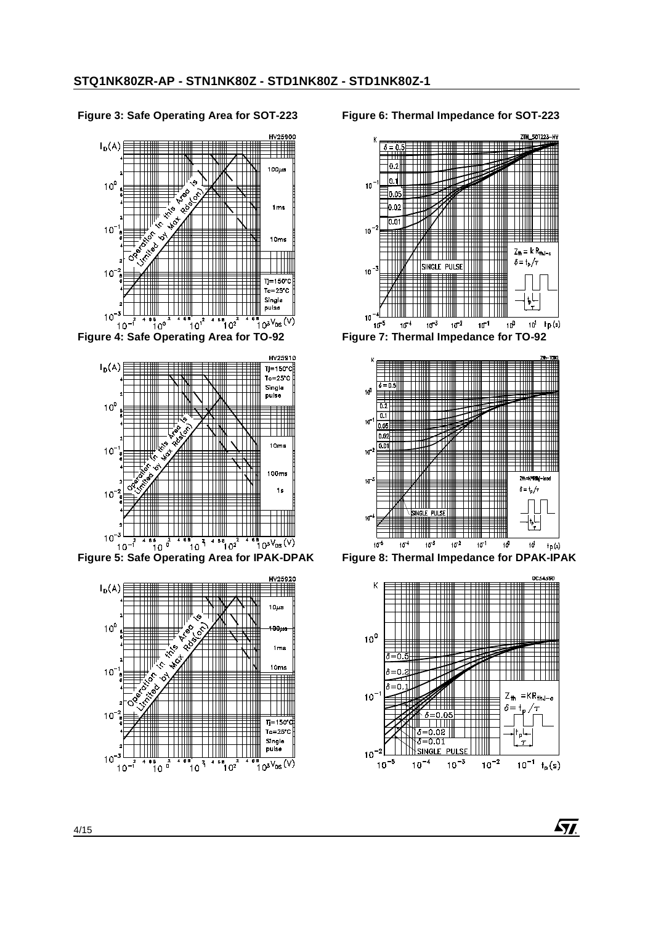#### **Figure 3: Safe Operating Area for SOT-223**



**Figure 4: Safe Operating Area for TO-92**





#### **Figure 6: Thermal Impedance for SOT-223**



**Figure 7: Thermal Impedance for TO-92**



**Figure 8: Thermal Impedance for DPAK-IPAK**



<u> Яі</u>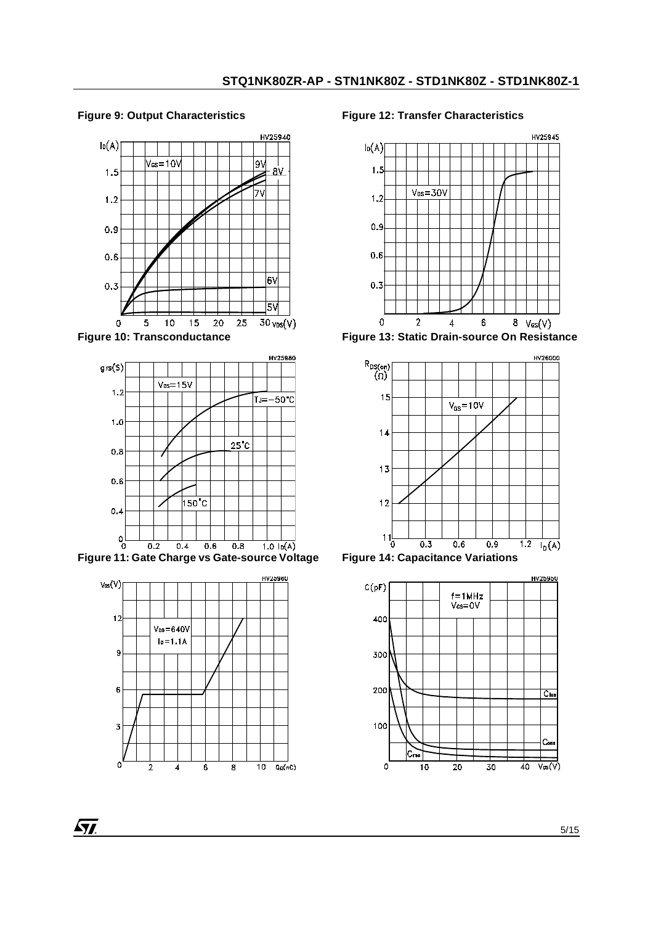### **Figure 9: Output Characteristics**







**ST** 

#### **Figure 12: Transfer Characteristics**



**Figure 13: Static Drain-source On Resistance**



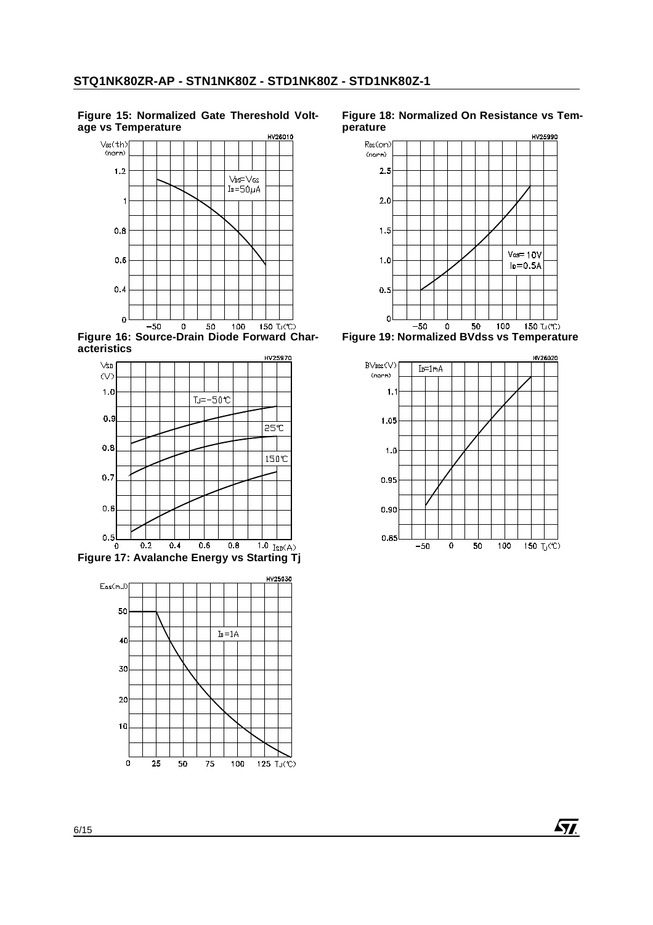#### **Figure 15: Normalized Gate Thereshold Voltage vs Temperature**



**Figure 16: Source-Drain Diode Forward Characteristics**





#### **Figure 18: Normalized On Resistance vs Temperature**



**Figure 19: Normalized BVdss vs Temperature**



**Ayt**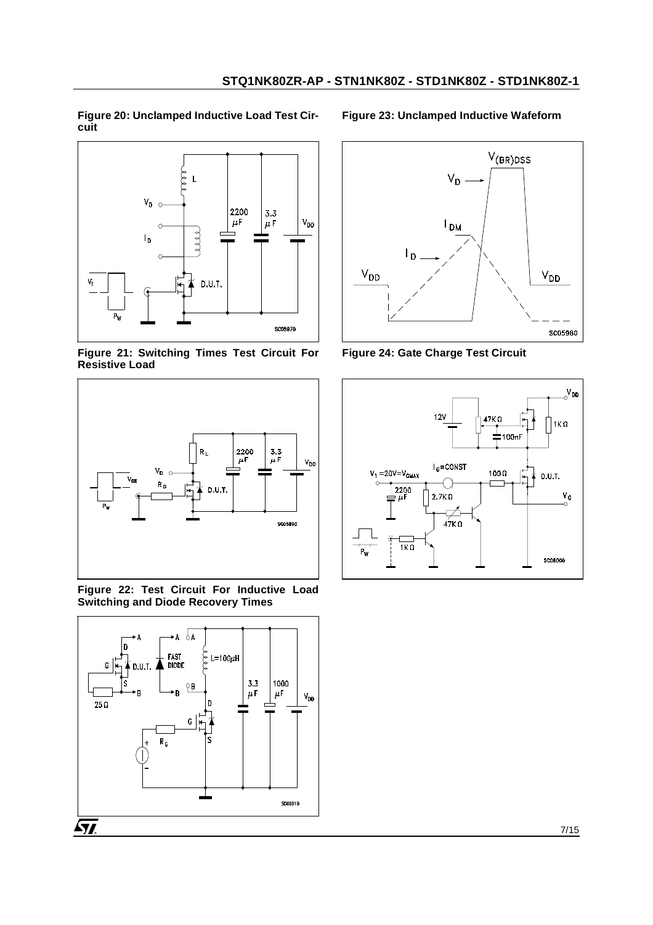**Figure 20: Unclamped Inductive Load Test Circuit** 



<span id="page-6-0"></span>**Figure 21: Switching Times Test Circuit For Resistive Load** 



<span id="page-6-2"></span>**Figure 22: Test Circuit For Inductive Load Switching and Diode Recovery Times** 



**Figure 23: Unclamped Inductive Wafeform**



<span id="page-6-1"></span>**Figure 24: Gate Charge Test Circuit** 

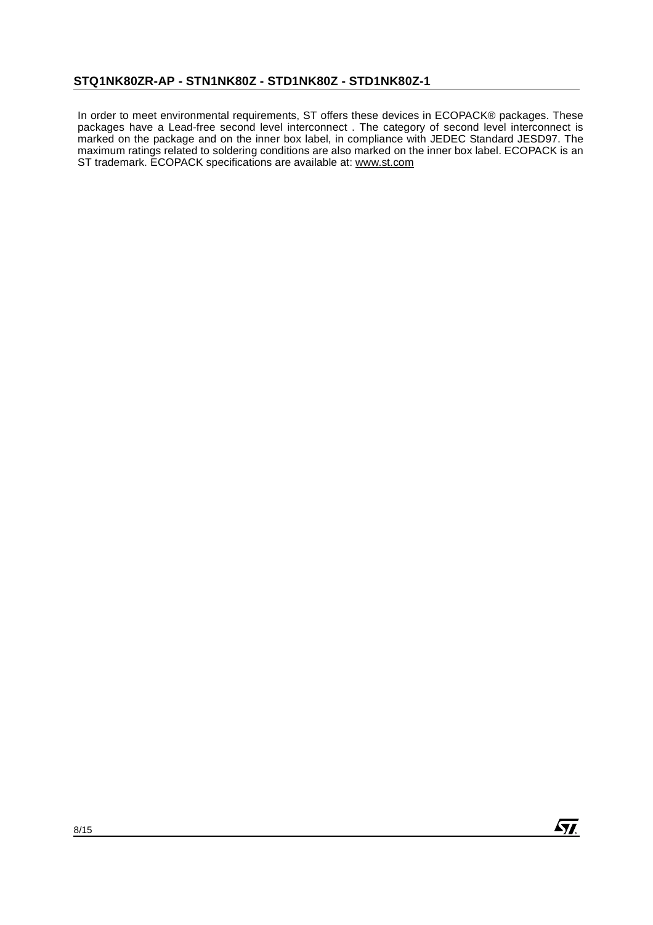In order to meet environmental requirements, ST offers these devices in ECOPACK® packages. These packages have a Lead-free second level interconnect . The category of second level interconnect is marked on the package and on the inner box label, in compliance with JEDEC Standard JESD97. The maximum ratings related to soldering conditions are also marked on the inner box label. ECOPACK is an ST trademark. ECOPACK specifications are available at: www.st.com

**ST.**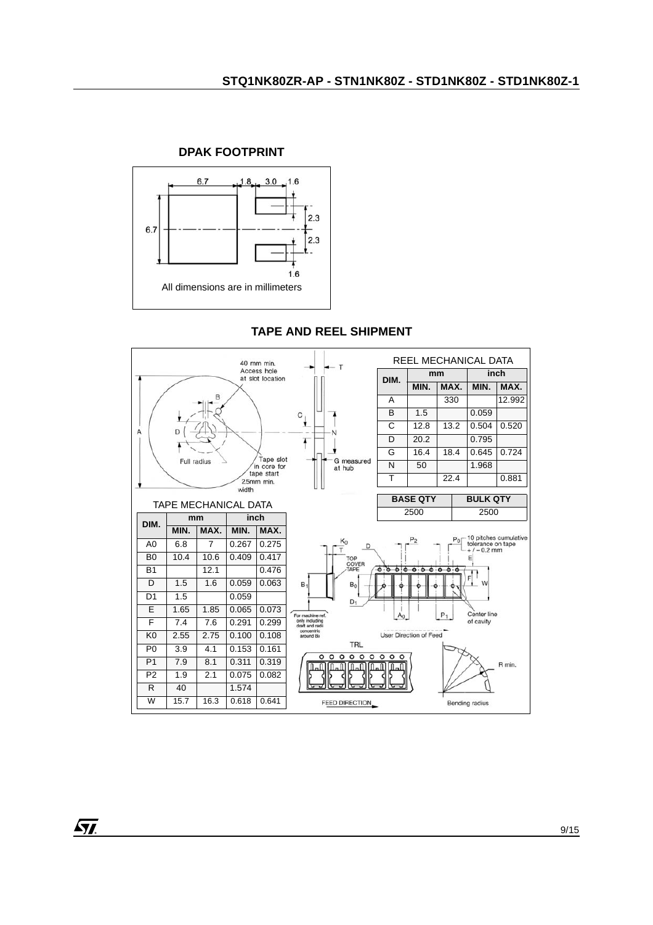

## **DPAK FOOTPRINT**

# **TAPE AND REEL SHIPMENT**

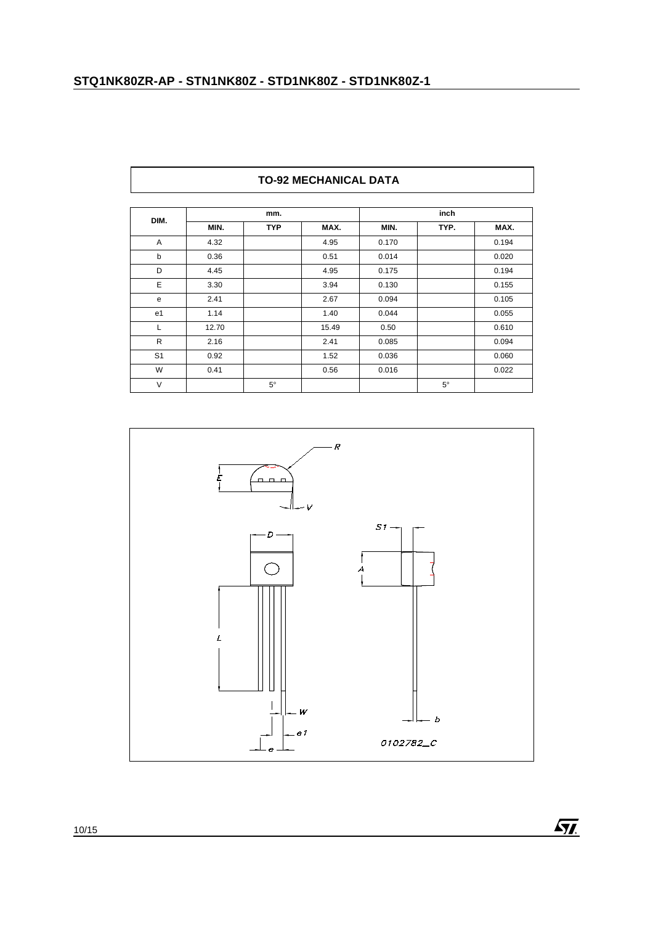| DIM.           |       | mm.        |       |       | inch      |       |  |
|----------------|-------|------------|-------|-------|-----------|-------|--|
|                | MIN.  | <b>TYP</b> | MAX.  | MIN.  | TYP.      | MAX.  |  |
| A              | 4.32  |            | 4.95  | 0.170 |           | 0.194 |  |
| b              | 0.36  |            | 0.51  | 0.014 |           | 0.020 |  |
| D              | 4.45  |            | 4.95  | 0.175 |           | 0.194 |  |
| Ε              | 3.30  |            | 3.94  | 0.130 |           | 0.155 |  |
| e              | 2.41  |            | 2.67  | 0.094 |           | 0.105 |  |
| e1             | 1.14  |            | 1.40  | 0.044 |           | 0.055 |  |
| L              | 12.70 |            | 15.49 | 0.50  |           | 0.610 |  |
| $\mathsf{R}$   | 2.16  |            | 2.41  | 0.085 |           | 0.094 |  |
| S <sub>1</sub> | 0.92  |            | 1.52  | 0.036 |           | 0.060 |  |
| W              | 0.41  |            | 0.56  | 0.016 |           | 0.022 |  |
| V              |       | $5^\circ$  |       |       | $5^\circ$ |       |  |



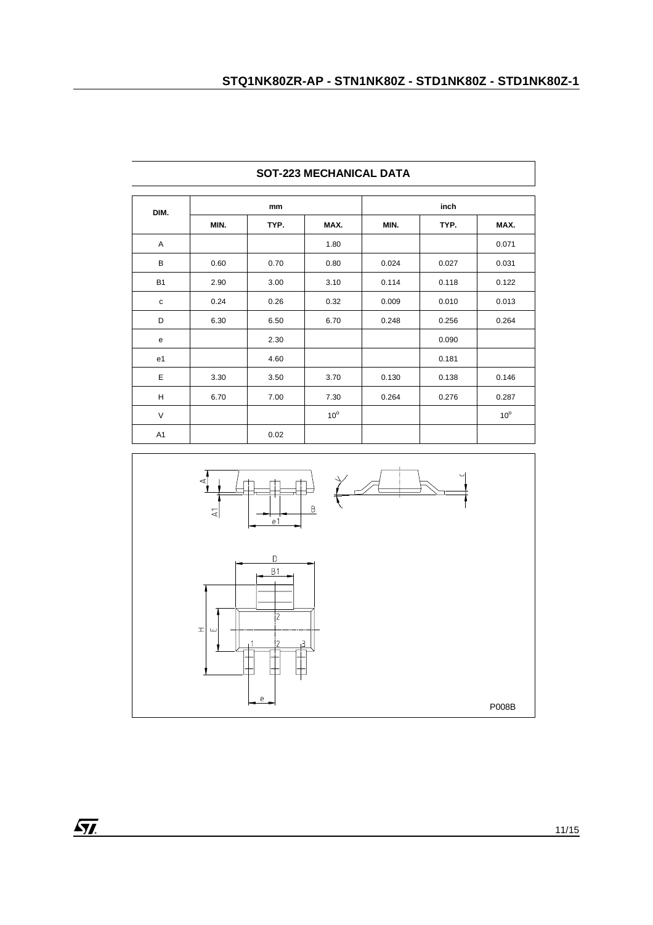| DIM.           |      | mm   |              |       |       |              |
|----------------|------|------|--------------|-------|-------|--------------|
|                | MIN. | TYP. | MAX.         | MIN.  | TYP.  | MAX.         |
| Α              |      |      | 1.80         |       |       | 0.071        |
| В              | 0.60 | 0.70 | 0.80         | 0.024 | 0.027 | 0.031        |
| <b>B1</b>      | 2.90 | 3.00 | 3.10         | 0.114 | 0.118 | 0.122        |
| $\mathbf c$    | 0.24 | 0.26 | 0.32         | 0.009 | 0.010 | 0.013        |
| D              | 6.30 | 6.50 | 6.70         | 0.248 | 0.256 | 0.264        |
| е              |      | 2.30 |              |       | 0.090 |              |
| e <sub>1</sub> |      | 4.60 |              |       | 0.181 |              |
| Ε              | 3.30 | 3.50 | 3.70         | 0.130 | 0.138 | 0.146        |
| Н              | 6.70 | 7.00 | 7.30         | 0.264 | 0.276 | 0.287        |
| $\vee$         |      |      | $10^{\circ}$ |       |       | $10^{\circ}$ |
| A1             |      | 0.02 |              |       |       |              |





 $\sqrt{M}$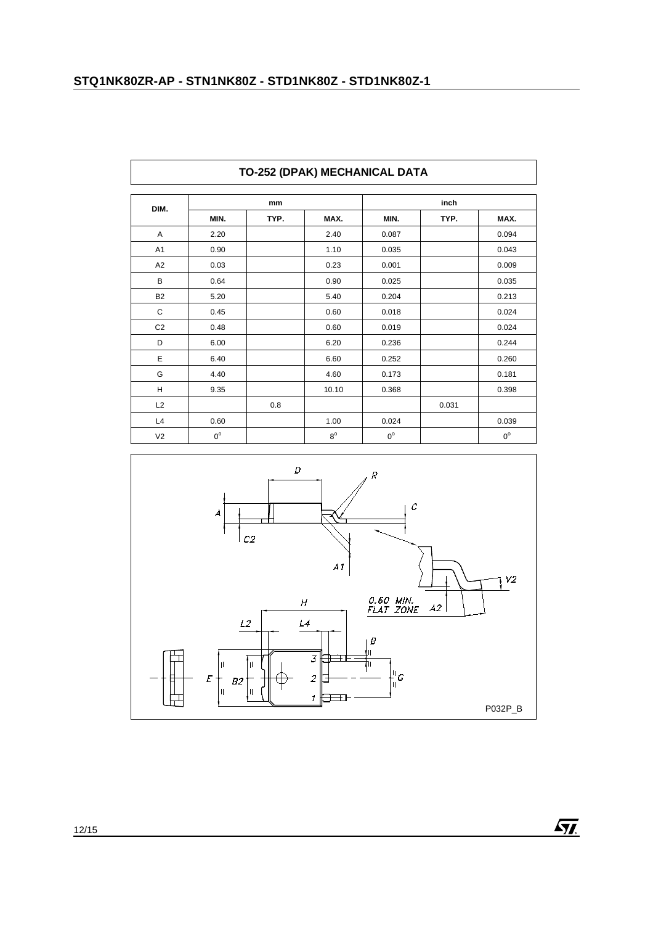| DIM.           |             | mm   |             |             | inch  |             |
|----------------|-------------|------|-------------|-------------|-------|-------------|
|                | MIN.        | TYP. | MAX.        | MIN.        | TYP.  | MAX.        |
| Α              | 2.20        |      | 2.40        | 0.087       |       | 0.094       |
| A <sub>1</sub> | 0.90        |      | 1.10        | 0.035       |       | 0.043       |
| A2             | 0.03        |      | 0.23        | 0.001       |       | 0.009       |
| B              | 0.64        |      | 0.90        | 0.025       |       | 0.035       |
| <b>B2</b>      | 5.20        |      | 5.40        | 0.204       |       | 0.213       |
| C              | 0.45        |      | 0.60        | 0.018       |       | 0.024       |
| C <sub>2</sub> | 0.48        |      | 0.60        | 0.019       |       | 0.024       |
| D              | 6.00        |      | 6.20        | 0.236       |       | 0.244       |
| E              | 6.40        |      | 6.60        | 0.252       |       | 0.260       |
| G              | 4.40        |      | 4.60        | 0.173       |       | 0.181       |
| H              | 9.35        |      | 10.10       | 0.368       |       | 0.398       |
| L2             |             | 0.8  |             |             | 0.031 |             |
| L4             | 0.60        |      | 1.00        | 0.024       |       | 0.039       |
| V <sub>2</sub> | $0^{\circ}$ |      | $8^{\circ}$ | $0^{\circ}$ |       | $0^{\circ}$ |

# **TO-252 (DPAK) MECHANICAL DATA**



 $\sqrt{M}$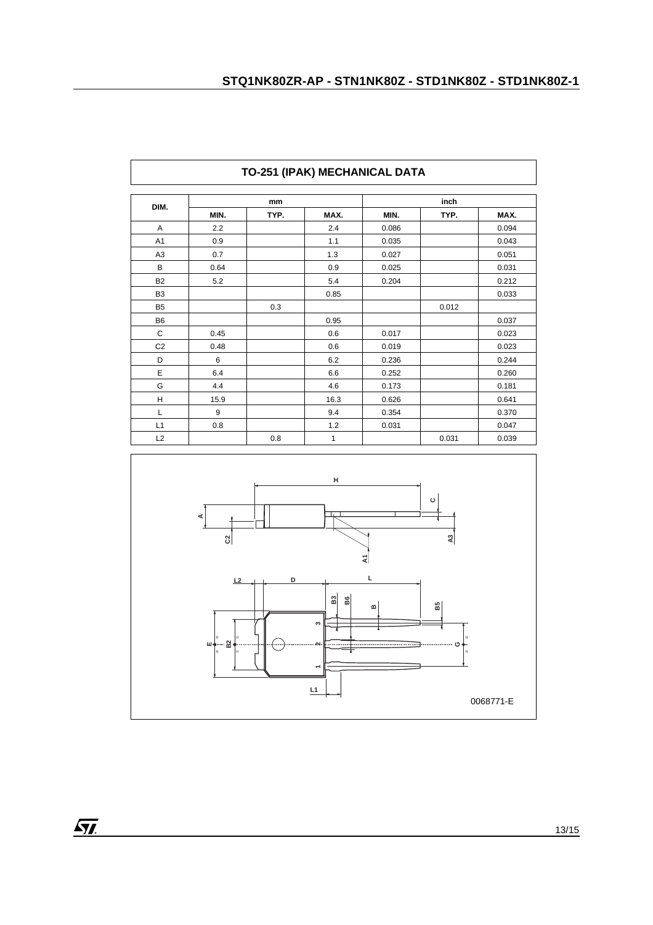| DIM.           | mm   |      |      | inch  |       |       |
|----------------|------|------|------|-------|-------|-------|
|                | MIN. | TYP. | MAX. | MIN.  | TYP.  | MAX.  |
| Α              | 2.2  |      | 2.4  | 0.086 |       | 0.094 |
| A <sub>1</sub> | 0.9  |      | 1.1  | 0.035 |       | 0.043 |
| A <sub>3</sub> | 0.7  |      | 1.3  | 0.027 |       | 0.051 |
| B              | 0.64 |      | 0.9  | 0.025 |       | 0.031 |
| <b>B2</b>      | 5.2  |      | 5.4  | 0.204 |       | 0.212 |
| B <sub>3</sub> |      |      | 0.85 |       |       | 0.033 |
| B <sub>5</sub> |      | 0.3  |      |       | 0.012 |       |
| <b>B6</b>      |      |      | 0.95 |       |       | 0.037 |
| C              | 0.45 |      | 0.6  | 0.017 |       | 0.023 |
| C <sub>2</sub> | 0.48 |      | 0.6  | 0.019 |       | 0.023 |
| D              | 6    |      | 6.2  | 0.236 |       | 0.244 |
| E              | 6.4  |      | 6.6  | 0.252 |       | 0.260 |
| G              | 4.4  |      | 4.6  | 0.173 |       | 0.181 |
| Н              | 15.9 |      | 16.3 | 0.626 |       | 0.641 |
| L              | 9    |      | 9.4  | 0.354 |       | 0.370 |
| L1             | 0.8  |      | 1.2  | 0.031 |       | 0.047 |
| L2             |      | 0.8  | 1    |       | 0.031 | 0.039 |



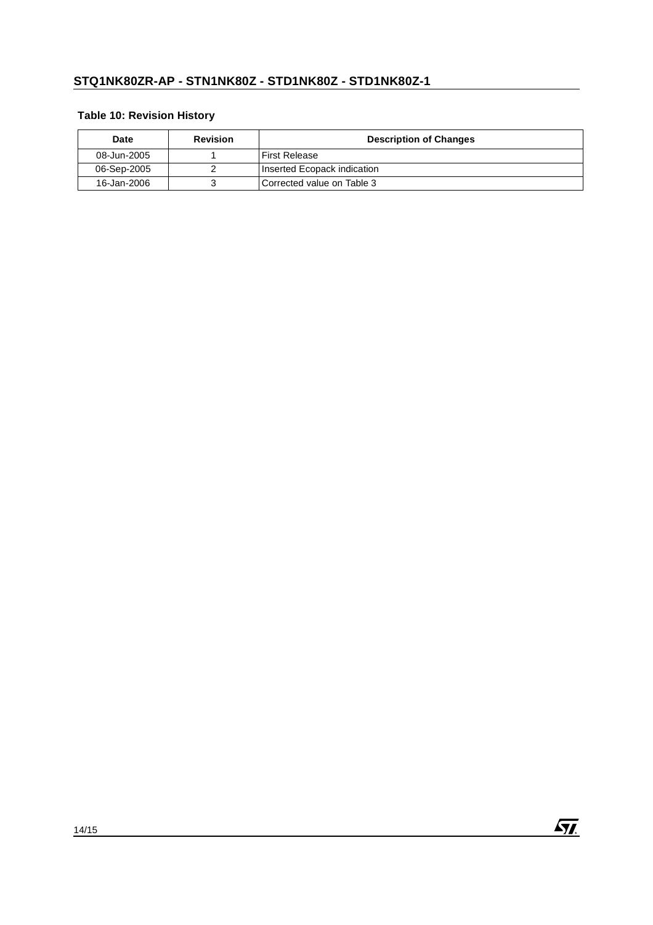# **Table 10: Revision History**

| Date        | <b>Revision</b> | <b>Description of Changes</b> |  |
|-------------|-----------------|-------------------------------|--|
| 08-Jun-2005 |                 | First Release                 |  |
| 06-Sep-2005 |                 | Inserted Ecopack indication   |  |
| 16-Jan-2006 |                 | l Corrected value on Table 3  |  |

 $\sqrt{M}$